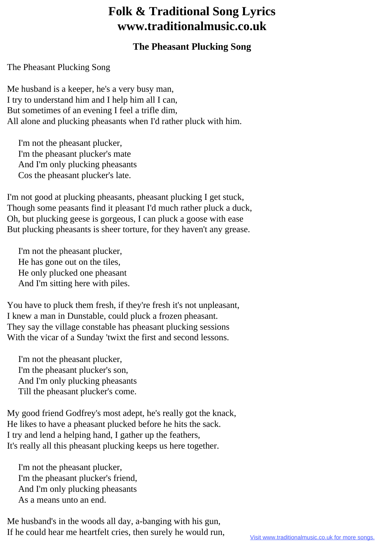## **Folk & Traditional Song Lyrics www.traditionalmusic.co.uk**

## **The Pheasant Plucking Song**

The Pheasant Plucking Song

Me husband is a keeper, he's a very busy man, I try to understand him and I help him all I can, But sometimes of an evening I feel a trifle dim, All alone and plucking pheasants when I'd rather pluck with him.

 I'm not the pheasant plucker, I'm the pheasant plucker's mate And I'm only plucking pheasants Cos the pheasant plucker's late.

I'm not good at plucking pheasants, pheasant plucking I get stuck, Though some peasants find it pleasant I'd much rather pluck a duck, Oh, but plucking geese is gorgeous, I can pluck a goose with ease But plucking pheasants is sheer torture, for they haven't any grease.

 I'm not the pheasant plucker, He has gone out on the tiles, He only plucked one pheasant And I'm sitting here with piles.

You have to pluck them fresh, if they're fresh it's not unpleasant, I knew a man in Dunstable, could pluck a frozen pheasant. They say the village constable has pheasant plucking sessions With the vicar of a Sunday 'twixt the first and second lessons.

 I'm not the pheasant plucker, I'm the pheasant plucker's son, And I'm only plucking pheasants Till the pheasant plucker's come.

My good friend Godfrey's most adept, he's really got the knack, He likes to have a pheasant plucked before he hits the sack. I try and lend a helping hand, I gather up the feathers, It's really all this pheasant plucking keeps us here together.

 I'm not the pheasant plucker, I'm the pheasant plucker's friend, And I'm only plucking pheasants As a means unto an end.

Me husband's in the woods all day, a-banging with his gun, If he could hear me heartfelt cries, then surely he would run,